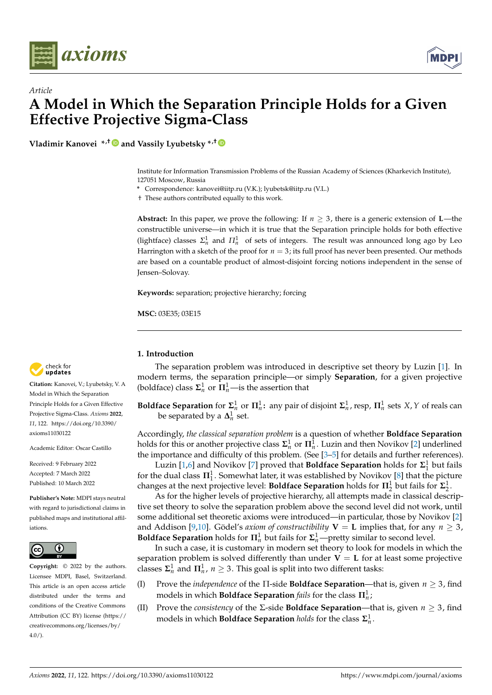



**Vladimir Kanovei \*,† and Vassily Lyubetsky \*,†**

Institute for Information Transmission Problems of the Russian Academy of Sciences (Kharkevich Institute), 127051 Moscow, Russia

**\*** Correspondence: kanovei@iitp.ru (V.K.); lyubetsk@iitp.ru (V.L.)

† These authors contributed equally to this work.

**Abstract:** In this paper, we prove the following: If  $n \geq 3$ , there is a generic extension of **L**—the constructible universe—in which it is true that the Separation principle holds for both effective (lightface) classes  $\Sigma_n^1$  and  $\Pi_n^1$  of sets of integers. The result was announced long ago by Leo Harrington with a sketch of the proof for  $n = 3$ ; its full proof has never been presented. Our methods are based on a countable product of almost-disjoint forcing notions independent in the sense of Jensen–Solovay.

**Keywords:** separation; projective hierarchy; forcing

**MSC:** 03E35; 03E15

#### **1. Introduction**

The separation problem was introduced in descriptive set theory by Luzin [\[1\]](#page-11-0). In modern terms, the separation principle—or simply **Separation**, for a given projective (boldface) class  $\Sigma_n^1$  or  $\Pi_n^1$ —is the assertion that

**Boldface Separation** for  $\Sigma_n^1$  or  $\Pi_n^1$ : any pair of disjoint  $\Sigma_n^1$ , resp,  $\Pi_n^1$  sets *X*, *Y* of reals can be separated by a  $\Delta_n^1$  set.

Accordingly, *the classical separation problem* is a question of whether **Boldface Separation** holds for this or another projective class  $\Sigma^1_n$  or  $\Pi^1_n$ . Luzin and then Novikov [\[2\]](#page-11-1) underlined the importance and difficulty of this problem. (See [3-[5\]](#page-11-3) for details and further references).

Luzin [\[1](#page-11-0)[,6\]](#page-11-4) and Novikov [\[7\]](#page-11-5) proved that **Boldface Separation** holds for  $\Sigma_1^1$  but fails for the dual class  $\Pi_1^1$ . Somewhat later, it was established by Novikov [\[8\]](#page-11-6) that the picture changes at the next projective level: **Boldface Separation** holds for  $\Pi_2^1$  but fails for  $\Sigma_2^1$ .

As for the higher levels of projective hierarchy, all attempts made in classical descriptive set theory to solve the separation problem above the second level did not work, until some additional set theoretic axioms were introduced—in particular, those by Novikov [\[2\]](#page-11-1) and Addison [\[9](#page-11-7)[,10\]](#page-11-8). Gödel's *axiom of constructibility*  $V = L$  implies that, for any  $n \ge 3$ , **Boldface Separation** holds for  $\Pi_n^1$  but fails for  $\Sigma_n^1$ —pretty similar to second level.

In such a case, it is customary in modern set theory to look for models in which the separation problem is solved differently than under  $V = L$  for at least some projective classes  $\mathbf{\Sigma}^1_n$  and  $\mathbf{\Pi}^1_n$ ,  $n \geq 3$ . This goal is split into two different tasks:

- (I) Prove the *independence* of the Π-side **Boldface Separation**—that is, given *n* ≥ 3, find models in which **Boldface Separation** *fails* for the class **Π**<sup>1</sup> *n* ;
- (II) Prove the *consistency* of the  $\Sigma$ -side **Boldface Separation—that** is, given  $n \geq 3$ , find models in which **Boldface Separation** *holds* for the class  $\Sigma_n^1$ .



**Citation:** Kanovei, V.; Lyubetsky, V. A Model in Which the Separation Principle Holds for a Given Effective Projective Sigma-Class. *Axioms* **2022**, *11*, 122. [https://doi.org/10.3390/](https://doi.org/10.3390/axioms11030122) [axioms11030122](https://doi.org/10.3390/axioms11030122)

Academic Editor: Oscar Castillo

Received: 9 February 2022 Accepted: 7 March 2022 Published: 10 March 2022

**Publisher's Note:** MDPI stays neutral with regard to jurisdictional claims in published maps and institutional affiliations.



**Copyright:** © 2022 by the authors. Licensee MDPI, Basel, Switzerland. This article is an open access article distributed under the terms and conditions of the Creative Commons Attribution (CC BY) license [\(https://](https://creativecommons.org/licenses/by/4.0/) [creativecommons.org/licenses/by/](https://creativecommons.org/licenses/by/4.0/)  $4.0/$ ).

**MDF**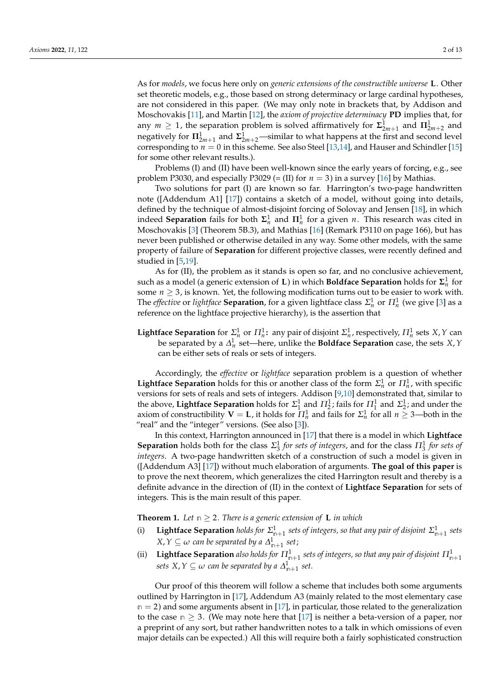As for *models*, we focus here only on *generic extensions of the constructible universe* **L**. Other set theoretic models, e.g., those based on strong determinacy or large cardinal hypotheses, are not considered in this paper. (We may only note in brackets that, by Addison and Moschovakis [\[11\]](#page-11-9), and Martin [\[12\]](#page-11-10), the *axiom of projective determinacy* **PD** implies that, for any  $m \geq 1$ , the separation problem is solved affirmatively for  $\Sigma_{2m+1}^1$  and  $\Pi_{2m+2}^1$  and negatively for  $\Pi_{2m+1}^1$  and  $\Sigma_{2m+2}^1$ —similar to what happens at the first and second level corresponding to  $n = 0$  in this scheme. See also Steel [\[13](#page-11-11)[,14\]](#page-11-12), and Hauser and Schindler [\[15\]](#page-11-13) for some other relevant results.).

Problems (I) and (II) have been well-known since the early years of forcing, e.g., see problem P3030, and especially P3029 (= (II) for  $n = 3$ ) in a survey [\[16\]](#page-11-14) by Mathias.

Two solutions for part (I) are known so far. Harrington's two-page handwritten note ([Addendum A1] [\[17\]](#page-11-15)) contains a sketch of a model, without going into details, defined by the technique of almost-disjoint forcing of Solovay and Jensen [\[18\]](#page-11-16), in which indeed **Separation** fails for both  $\Sigma_n^1$  and  $\Pi_n^1$  for a given *n*. This research was cited in Moschovakis [\[3\]](#page-11-2) (Theorem 5B.3), and Mathias [\[16\]](#page-11-14) (Remark P3110 on page 166), but has never been published or otherwise detailed in any way. Some other models, with the same property of failure of **Separation** for different projective classes, were recently defined and studied in [\[5,](#page-11-3)[19\]](#page-11-17).

As for (II), the problem as it stands is open so far, and no conclusive achievement, such as a model (a generic extension of **L**) in which **Boldface Separation** holds for  $\Sigma^1_n$  for some  $n \geq 3$ , is known. Yet, the following modification turns out to be easier to work with. The *effective* or *lightface* **Separation**, for a given lightface class  $\Sigma_n^1$  or  $\Pi_n^1$  (we give [\[3\]](#page-11-2) as a reference on the lightface projective hierarchy), is the assertion that

**Lightface Separation** for  $\Sigma_n^1$  or  $\Pi_n^1$ : any pair of disjoint  $\Sigma_n^1$ , respectively,  $\Pi_n^1$  sets *X*, *Y* can be separated by a *∆* 1 *n* set—here, unlike the **Boldface Separation** case, the sets *X*,*Y* can be either sets of reals or sets of integers.

Accordingly, the *effective* or *lightface* separation problem is a question of whether **Lightface Separation** holds for this or another class of the form  $\Sigma_n^1$  or  $\Pi_n^1$ , with specific versions for sets of reals and sets of integers. Addison [\[9,](#page-11-7)[10\]](#page-11-8) demonstrated that, similar to the above, **Lightface Separation** holds for  $\Sigma_1^1$  and  $\Pi_2^1$ ; fails for  $\Pi_1^1$  and  $\Sigma_2^1$ ; and under the axiom of constructibility  $V = L$ , it holds for  $\Pi^1_n$  and fails for  $\Sigma^1_n$  for all  $n \geq 3$ —both in the "real" and the "integer" versions. (See also [\[3\]](#page-11-2)).

In this context, Harrington announced in [\[17\]](#page-11-15) that there is a model in which **Lightface Separation** holds both for the class  $\Sigma_3^1$  *for sets of integers*, and for the class  $\Pi_3^1$  *for sets of integers*. A two-page handwritten sketch of a construction of such a model is given in ([Addendum A3] [\[17\]](#page-11-15)) without much elaboration of arguments. **The goal of this paper** is to prove the next theorem, which generalizes the cited Harrington result and thereby is a definite advance in the direction of (II) in the context of **Lightface Separation** for sets of integers. This is the main result of this paper.

<span id="page-1-0"></span>**Theorem 1.** Let  $m \geq 2$ . There is a generic extension of **L** in which

- (i) Lightface Separation *holds for*  $\Sigma_{n+1}^1$  sets of integers, so that any pair of disjoint  $\Sigma_{n+1}^1$  sets  $X,Y\subseteq\omega$  can be separated by a  $\varDelta_{\mathbb{m}+1}^1$  set;
- (ii) Lightface Separation *also holds for*  $\Pi_{n+1}^1$  *sets of integers, so that any pair of disjoint*  $\Pi_{n+1}^1$  $sets\ X, Y \subseteq \omega$  can be separated by a  $\Delta^1_{n+1}$  set.

Our proof of this theorem will follow a scheme that includes both some arguments outlined by Harrington in [\[17\]](#page-11-15), Addendum A3 (mainly related to the most elementary case **n** = 2) and some arguments absent in [\[17\]](#page-11-15), in particular, those related to the generalization to the case  $n \geq 3$ . (We may note here that [\[17\]](#page-11-15) is neither a beta-version of a paper, nor a preprint of any sort, but rather handwritten notes to a talk in which omissions of even major details can be expected.) All this will require both a fairly sophisticated construction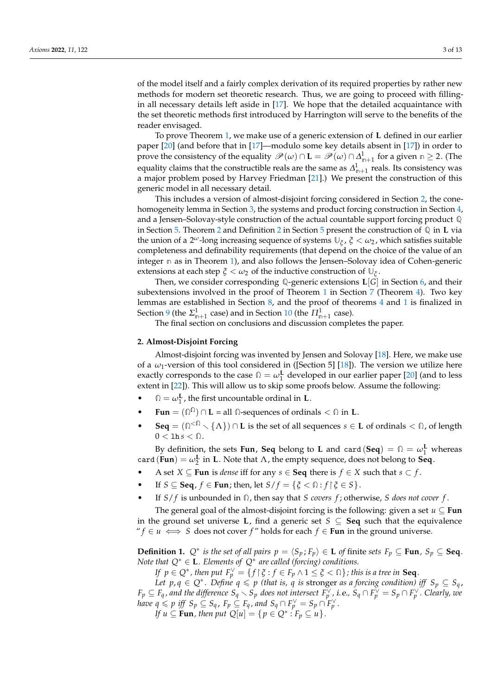of the model itself and a fairly complex derivation of its required properties by rather new methods for modern set theoretic research. Thus, we are going to proceed with fillingin all necessary details left aside in [\[17\]](#page-11-15). We hope that the detailed acquaintance with the set theoretic methods first introduced by Harrington will serve to the benefits of the reader envisaged.

To prove Theorem [1,](#page-1-0) we make use of a generic extension of **L** defined in our earlier paper [\[20\]](#page-11-18) (and before that in [\[17\]](#page-11-15)—modulo some key details absent in [\[17\]](#page-11-15)) in order to prove the consistency of the equality  $\mathscr{P}(\omega) \cap L = \mathscr{P}(\omega) \cap \Delta^1_{n+1}$  for a given  $n \geq 2$ . (The equality claims that the constructible reals are the same as  $\varDelta_{\mathsf{n}+1}^1$  reals. Its consistency was a major problem posed by Harvey Friedman [\[21\]](#page-11-19).) We present the construction of this generic model in all necessary detail.

This includes a version of almost-disjoint forcing considered in Section [2,](#page-2-0) the conehomogeneity lemma in Section [3,](#page-3-0) the systems and product forcing construction in Section [4,](#page-3-1) and a Jensen–Solovay-style construction of the actual countable support forcing product **Q** in Section [5.](#page-4-0) Theorem [2](#page-5-0) and Definition [2](#page-5-1) in Section [5](#page-4-0) present the construction of **Q** in **L** via the union of a 2 *<sup>ω</sup>*-long increasing sequence of systems **U***<sup>ξ</sup>* , *ξ* < *ω*<sup>2</sup> , which satisfies suitable completeness and definability requirements (that depend on the choice of the value of an integer **n** as in Theorem [1\)](#page-1-0), and also follows the Jensen–Solovay idea of Cohen-generic extensions at each step  $\zeta < \omega_2$  of the inductive construction of  $\mathbb{U}_{\zeta}$ .

Then, we consider corresponding **Q**-generic extensions **L**[*G*] in Section [6,](#page-5-2) and their subextensions involved in the proof of Theorem [1](#page-1-0) in Section [7](#page-6-0) (Theorem [4\)](#page-7-0). Two key lemmas are established in Section [8,](#page-7-1) and the proof of theorems [4](#page-7-0) and [1](#page-1-0) is finalized in Section [9](#page-8-0) (the  $\Sigma_{\mathsf{n}+1}^1$  case) and in Section [10](#page-10-0) (the  $\Pi_{\mathsf{n}+1}^1$  case).

The final section on conclusions and discussion completes the paper.

#### <span id="page-2-0"></span>**2. Almost-Disjoint Forcing**

Almost-disjoint forcing was invented by Jensen and Solovay [\[18\]](#page-11-16). Here, we make use of a *ω*1-version of this tool considered in ([Section 5] [\[18\]](#page-11-16)). The version we utilize here exactly corresponds to the case  $\Omega = \omega_1^{\mathbf{L}}$  developed in our earlier paper [\[20\]](#page-11-18) (and to less extent in [\[22\]](#page-11-20)). This will allow us to skip some proofs below. Assume the following:

- $\Omega = \omega_1^{\mathbf{L}}$ , the first uncountable ordinal in **L**.
- **Fun** =  $(\Omega^{\Omega}) \cap L$  = all  $\Omega$ -sequences of ordinals <  $\Omega$  in **L**.
- **Seq** =  $(\bigcap^{<\Omega} \setminus \{\Lambda\}) \cap L$  is the set of all sequences  $s \in L$  of ordinals  $<\Omega$ , of length  $0 <$  1h  $s < \Omega$ .

By definition, the sets **Fun**, **Seq** belong to **L** and card (**Seq**) =  $\Omega = \omega_1^{\mathbf{L}}$  whereas card  $(\text{Fun}) = \omega_2^{\text{L}}$  in **L**. Note that  $\Lambda$ , the empty sequence, does not belong to **Seq**.

- A set *X* ⊆ **Fun** is *dense* iff for any *s* ∈ **Seq** there is *f* ∈ *X* such that *s* ⊂ *f*.
- If  $S \subseteq \textbf{Seq}, f \in \textbf{Fun}$ ; then, let  $S/f = \{ \xi \leq \mathbb{Q} : f \mid \xi \in S \}.$
- If *S*/ *f* is unbounded in **Ω**, then say that *S covers f* ; otherwise, *S does not cover f* .

The general goal of the almost-disjoint forcing is the following: given a set  $u \subseteq \text{Fun}$ in the ground set universe **L**, find a generic set  $S \subseteq \mathbf{Seq}$  such that the equivalence " *f* ∈ *u*  $\iff$  *S* does not cover *f* " holds for each *f* ∈ **Fun** in the ground universe.

**Definition 1.**  $Q^*$  *is the set of all pairs*  $p = \langle S_p, F_p \rangle \in L$  *of finite sets*  $F_p \subseteq \textbf{Fun}$ *,*  $S_p \subseteq \textbf{Seq}$ *. Note that Q*<sup>∗</sup> ∈ **L***. Elements of Q*<sup>∗</sup> *are called (forcing) conditions.*

*If*  $p \in Q^*$ , then put  $F_p^{\vee} = \{f \mid \xi : f \in F_p \land 1 \leq \xi < \Omega\}$ ; this is a tree in **Seq**.

*Let*  $p, q \in Q^*$ . Define  $q \leq p$  (that is,  $q$  is stronger as a forcing condition) iff  $S_p \subseteq S_q$ ,  $F_p\subseteq F_q$ , and the difference  $S_q\setminus S_p$  does not intersect  $F_p^\vee$ , i.e.,  $S_q\cap F_p^\vee=S_p\cap F_p^\vee$ . Clearly, we *have*  $q \leq p$  *iff*  $S_p \subseteq S_q$ *,*  $F_p \subseteq F_q$ *, and*  $S_q \cap F_p^{\vee} = S_p \cap F_p^{\vee}$ *.* 

*If*  $u \subseteq \textbf{Fun}$ , then put  $Q[u] = \{p \in Q^* : F_p \subseteq u\}$ .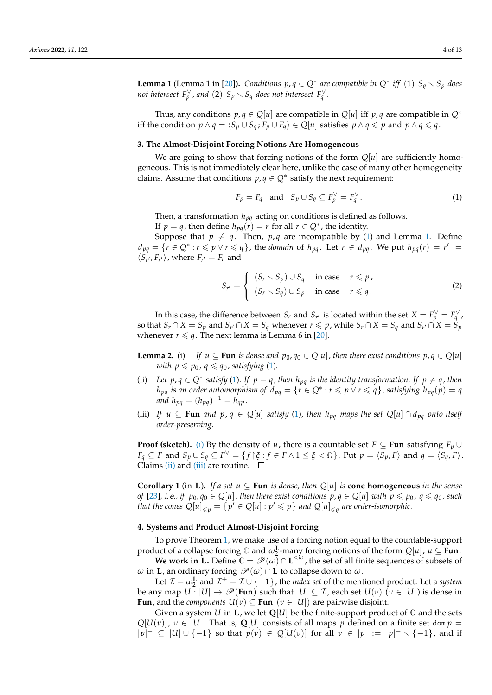<span id="page-3-3"></span>**Lemma 1** (Lemma 1 in [\[20\]](#page-11-18)). *Conditions*  $p, q \in Q^*$  *are compatible in*  $Q^*$  *iff* (1)  $S_q \setminus S_p$  *does not intersect*  $F_p^{\vee}$ , and (2)  $S_p \setminus S_q$  does not intersect  $F_q^{\vee}$ .

Thus, any conditions  $p, q \in O[u]$  are compatible in  $O[u]$  iff  $p, q$  are compatible in  $O^*$ iff the condition *p* ∧ *q* =  $\langle S_p \cup S_q : F_p \cup F_q \rangle$  ∈  $Q[u]$  satisfies *p* ∧ *q* ≤ *p* and *p* ∧ *q* ≤ *q*.

### <span id="page-3-0"></span>**3. The Almost-Disjoint Forcing Notions Are Homogeneous**

We are going to show that forcing notions of the form  $Q[u]$  are sufficiently homogeneous. This is not immediately clear here, unlike the case of many other homogeneity claims. Assume that conditions  $p, q \in Q^*$  satisfy the next requirement:

<span id="page-3-2"></span>
$$
F_p = F_q \quad \text{and} \quad S_p \cup S_q \subseteq F_p^{\vee} = F_q^{\vee}.
$$
 (1)

Then, a transformation *hpq* acting on conditions is defined as follows.

If  $p = q$ , then define  $h_{pq}(r) = r$  for all  $r \in Q^*$ , the identity.

Suppose that  $p \neq q$ . Then,  $p, q$  are incompatible by [\(1\)](#page-3-2) and Lemma [1.](#page-3-3) Define  $d_{pq} = \{r \in Q^* : r \leq p \vee r \leq q\}$ , the *domain* of  $h_{pq}$ . Let  $r \in d_{pq}$ . We put  $h_{pq}(r) = r' :=$  $\langle S_{r'}, F_{r'} \rangle$ , where  $F_{r'} = F_r$  and

$$
S_{r'} = \begin{cases} (S_r \setminus S_p) \cup S_q & \text{in case} & r \leq p, \\ (S_r \setminus S_q) \cup S_p & \text{in case} & r \leq q. \end{cases}
$$
 (2)

In this case, the difference between  $S_r$  and  $S_{r'}$  is located within the set  $X = F_p^{\vee} = F_q^{\vee}$ , so that  $S_r \cap X = S_p$  and  $S_{r'} \cap X = S_q$  whenever  $r \leqslant p$ , while  $S_r \cap X = S_q$  and  $S_{r'} \cap X = S_p$ whenever  $r \leq q$ . The next lemma is Lemma 6 in [\[20\]](#page-11-18).

- <span id="page-3-4"></span>**Lemma 2.** (i) *If*  $u \subseteq$  **Fun** *is dense and*  $p_0, q_0 \in Q[u]$ *, then there exist conditions*  $p, q \in Q[u]$ *with*  $p \leq p_0$ ,  $q \leq q_0$ , satisfying [\(1\)](#page-3-2).
- <span id="page-3-5"></span>(ii) Let  $p, q \in Q^*$  satisfy [\(1\)](#page-3-2). If  $p = q$ , then  $h_{pq}$  is the identity transformation. If  $p \neq q$ , then *h*<sub>pq</sub> is an order automorphism of  $d_{pq} = \{r \in Q^* : r \leqslant p \vee r \leqslant q\}$ , satisfying  $h_{pq}(p) = q$ *and*  $h_{pq} = (h_{pq})^{-1} = h_{qp}$ .
- <span id="page-3-6"></span>(iii) *If*  $u \subseteq \textbf{Fun}$  *and*  $p, q \in Q[u]$  *satisfy* [\(1\)](#page-3-2), then  $h_{pq}$  *maps the set*  $Q[u] \cap d_{pq}$  *onto itself order-preserving.*

**Proof (sketch).** [\(i\)](#page-3-4) By the density of *u*, there is a countable set *F* ⊆ **Fun** satisfying  $F_p \cup$  $F_q \subseteq F$  and  $S_p \cup S_q \subseteq F^{\vee} = \{f \mid \xi : f \in F \wedge 1 \leq \xi < \Omega\}$ . Put  $p = \langle S_p, F \rangle$  and  $q = \langle S_q, F \rangle$ . Claims [\(ii\)](#page-3-5) and [\(iii\)](#page-3-6) are routine.  $\square$ 

<span id="page-3-7"></span>**Corollary 1** (in L). If a set  $u \subseteq \text{Fun }$  *is dense, then*  $Q[u]$  *is* **cone homogeneous** *in the sense* of [\[23\]](#page-11-21), i.e., if  $p_0, q_0 \in Q[u]$ , then there exist conditions  $p, q \in Q[u]$  with  $p \leq p_0$ ,  $q \leq q_0$ , such *that the cones*  $Q[u]_{\leq p} = \{p' \in Q[u] : p' \leq p\}$  and  $Q[u]_{\leq q}$  are order-isomorphic.

### <span id="page-3-1"></span>**4. Systems and Product Almost-Disjoint Forcing**

To prove Theorem [1,](#page-1-0) we make use of a forcing notion equal to the countable-support product of a collapse forcing  $\mathbb C$  and  $\omega_2^{\mathbf L}$ -many forcing notions of the form  $Q[u]$ ,  $u \subseteq \mathbf{Fun}$ .

**We work in L.** Define  $\mathbb{C} = \mathscr{P}(\omega) \cap L^{<\omega}$ , the set of all finite sequences of subsets of *ω* in **L**, an ordinary forcing  $\mathcal{P}(ω) ∩$ **L** to collapse down to *ω*.

Let  $\mathcal{I} = \omega_2^{\mathbf{L}}$  and  $\mathcal{I}^+ = \mathcal{I} \cup \{-1\}$ , the *index set* of the mentioned product. Let a *system* be any map  $U: |U| \to \mathcal{P}(\text{Fun})$  such that  $|U| \subseteq \mathcal{I}$ , each set  $U(v)$  ( $v \in |U|$ ) is dense in **Fun**, and the *components*  $U(v) \subseteq \textbf{Fun}$  ( $v \in |U|$ ) are pairwise disjoint.

Given a system *U* in **L**, we let  $Q[U]$  be the finite-support product of  $\mathbb C$  and the sets  $Q[U(v)]$ ,  $v \in |U|$ . That is,  $Q[U]$  consists of all maps p defined on a finite set dom  $p =$  $|p|$ <sup>+</sup> ⊆ |*U*| ∪ {−1} so that  $p(v)$  ∈ *Q*[*U*(*v*)] for all  $v$  ∈ | $p$ | := | $p$ |<sup>+</sup>  $\setminus$  {−1}, and if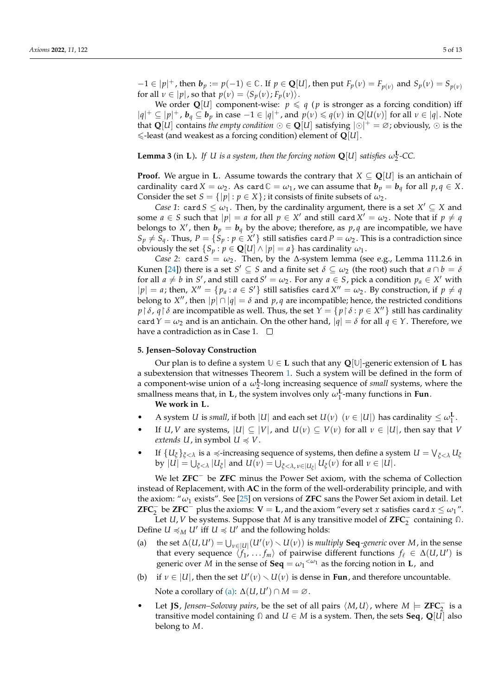$-1 \in |p|^+$ , then  $b_p := p(-1) \in \mathbb{C}$ . If  $p \in \mathbb{Q}[U]$ , then put  $F_p(v) = F_{p(v)}$  and  $S_p(v) = S_{p(v)}$ for all  $\nu \in |p|$ , so that  $p(\nu) = \langle S_p(\nu); F_p(\nu) \rangle$ .

We order  $Q[U]$  component-wise:  $p \leq q$  (*p* is stronger as a forcing condition) iff  $|q|$ <sup>+</sup> ⊆  $|p|$ <sup>+</sup>,  $b_q$  ⊆  $b_p$  in case −1 ∈  $|q|$ <sup>+</sup>, and  $p(v) \le q(v)$  in  $Q[U(v)]$  for all  $v \in |q|$ . Note that  $\mathbf{Q}[U]$  contains *the empty condition*  $\odot \in \mathbf{Q}[U]$  satisfying  $|\odot| + \in \emptyset$ ; obviously,  $\odot$  is the  $\le$ -least (and weakest as a forcing condition) element of  $\mathbf{Q}[U]$ .

<span id="page-4-2"></span>**Lemma 3** (in **L**). *If U is a system, then the forcing notion*  $Q[U]$  *satisfies*  $\omega_2^L$ -CC.

**Proof.** We argue in **L**. Assume towards the contrary that  $X \subseteq \mathbb{Q}[U]$  is an antichain of cardinality card  $X = \omega_2$ . As card  $\mathbb{C} = \omega_1$ , we can assume that  $b_p = b_q$  for all  $p, q \in X$ . Consider the set  $S = \{|p| : p \in X\}$ ; it consists of finite subsets of  $\omega_2$ .

*Case 1*: card  $S \leq \omega_1$ . Then, by the cardinality argument, there is a set  $X' \subseteq X$  and some  $a \in S$  such that  $|p| = a$  for all  $p \in X'$  and still card  $X' = \omega_2$ . Note that if  $p \neq q$ belongs to X', then  $b_p = b_q$  by the above; therefore, as  $p, q$  are incompatible, we have  $S_p \neq S_q$ . Thus,  $P = \{S_p : p \in X'\}$  still satisfies card  $P = \omega_2$ . This is a contradiction since obviously the set  $\{S_p : p \in \mathbf{Q}[U] \wedge |p| = a\}$  has cardinality  $\omega_1$ .

*Case 2*: card *S* =  $\omega_2$ . Then, by the  $\Delta$ -system lemma (see e.g., Lemma 111.2.6 in Kunen [\[24\]](#page-11-22)) there is a set  $S' \subseteq S$  and a finite set  $\delta \subseteq \omega_2$  (the root) such that  $a \cap b = \delta$ for all  $a \neq b$  in  $S'$ , and still card  $S' = \omega_2$ . For any  $a \in S$ , pick a condition  $p_a \in X'$  with  $|p| = a$ ; then,  $X'' = \{p_a : a \in S'\}$  still satisfies card  $X'' = \omega_2$ . By construction, if  $p \neq q$ belong to  $X''$ , then  $|p| \cap |q| = \delta$  and  $p, q$  are incompatible; hence, the restricted conditions  $p \restriction \delta$ ,  $q \restriction \delta$  are incompatible as well. Thus, the set  $Y = \{p \restriction \delta : p \in X''\}$  still has cardinality card *Y* =  $\omega_2$  and is an antichain. On the other hand,  $|q| = \delta$  for all  $q \in Y$ . Therefore, we have a contradiction as in Case 1.  $\square$ 

## <span id="page-4-0"></span>**5. Jensen–Solovay Construction**

Our plan is to define a system **U** ∈ **L** such that any **Q**[**U**]-generic extension of **L** has a subextension that witnesses Theorem [1.](#page-1-0) Such a system will be defined in the form of a component-wise union of a  $\omega_2^{\text{L}}$ -long increasing sequence of *small* systems, where the smallness means that, in **L**, the system involves only  $\omega_1^{\mathbf{L}}$ -many functions in **Fun**.

#### **We work in L.**

- A system *U* is *small*, if both  $|U|$  and each set  $U(v)$   $(v \in |U|)$  has cardinality  $\leq \omega_1^L$ .
- If *U*, *V* are systems,  $|U| \subseteq |V|$ , and  $U(\nu) \subseteq V(\nu)$  for all  $\nu \in |U|$ , then say that *V extends U*, in symbol  $U \preccurlyeq V$ .
- If  $\{U_{\xi}\}_{\xi < \lambda}$  is a  $\preccurlyeq$ -increasing sequence of systems, then define a system  $U = \bigvee_{\xi < \lambda} U_{\xi}$  $|I| = \bigcup_{\xi < \lambda} |U_{\xi}|$  and  $U(\nu) = \bigcup_{\xi < \lambda, \nu \in |U_{\xi}|} U_{\xi}(\nu)$  for all  $\nu \in |U|$ .

We let **ZFC**<sup>−</sup> be **ZFC** minus the Power Set axiom, with the schema of Collection instead of Replacement, with **AC** in the form of the well-orderability principle, and with the axiom: "*ω*<sup>1</sup> exists". See [\[25\]](#page-11-23) on versions of **ZFC** sans the Power Set axiom in detail. Let **ZFC**<sup> $-$ </sup> be **ZFC**<sup> $-$ </sup> plus the axioms: **V** = **L**, and the axiom "every set *x* satisfies card *x*  $\leq \omega_1$ ".

Let *U*, *V* be systems. Suppose that *M* is any transitive model of **ZFC**<sup>−</sup> 2 containing **Ω**. Define  $U \preccurlyeq_M U'$  iff  $U \preccurlyeq U'$  and the following holds:

- <span id="page-4-1"></span>(a) the set  $\Delta(U, U') = \bigcup_{v \in |U|} (U'(v) \setminus U(v))$  is *multiply* **Seq***-generic* over *M*, in the sense that every sequence  $\langle f_1, \ldots, f_m \rangle$  of pairwise different functions  $f_\ell \in \Delta(U, U')$  is generic over  $\overline{M}$  in the sense of **Seq** =  $\omega_1^{<\omega_1}$  as the forcing notion in **L**, and
- (b) if  $v \in |U|$ , then the set  $U'(v) \setminus U(v)$  is dense in **Fun**, and therefore uncountable. Note a corollary of [\(a\):](#page-4-1)  $\Delta(U, U') \cap M = \emptyset$ .
- **•** Let **JS**, *Jensen–Solovay pairs*, be the set of all pairs  $\langle M, U \rangle$ , where  $M \models \mathbf{ZFC}_{2}^-$  is a transitive model containing **Ω** and *U* ∈ *M* is a system. Then, the sets **Seq**, **Q**[*U*] also belong to *M*.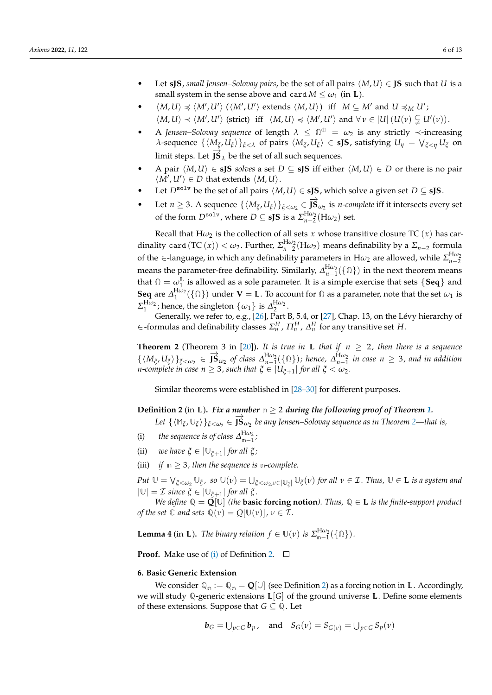- Let **sJS**, *small Jensen–Solovay pairs*, be the set of all pairs  $\langle M, U \rangle \in$  **JS** such that *U* is a small system in the sense above and card  $M \leq \omega_1$  (in **L**).
- $\langle M, U \rangle \preccurlyeq \langle M', U' \rangle \ (\langle M', U' \rangle \text{ extends } \langle M, U \rangle) \text{ iff } M \subseteq M' \text{ and } U \preccurlyeq_M U'$ ;  $\langle M, U \rangle \prec \langle M', U' \rangle$  (strict) iff  $\langle M, U \rangle \preccurlyeq \langle M', U' \rangle$  and  $\forall v \in |U|$   $(U(v) \subsetneqq U'(v))$ .
- A *Jensen–Solovay sequence* of length *λ* ≤ **Ω** <sup>⊕</sup> = *ω*<sup>2</sup> is any strictly ≺-increasing *λ*-sequence  $\{\langle M_{\xi}, U_{\xi}\rangle\}_{\xi<\lambda}$  of pairs  $\langle M_{\xi}, U_{\xi}\rangle \in$  **sJS**, satisfying  $U_{\eta} = \bigvee_{\xi<\eta} U_{\xi}$  on limit steps. Let  $J\dot{S}_\lambda$  be the set of all such sequences.
- *A* pair  $\langle M, U \rangle$  ∈ **sJS** *solves* a set *D* ⊆ **sJS** iff either  $\langle M, U \rangle$  ∈ *D* or there is no pair  $\langle M', U' \rangle \in D$  that extends  $\langle M, U \rangle$ .
- Let  $D^{\text{solv}}$  be the set of all pairs  $\langle M, U \rangle \in \text{sJS}$ , which solve a given set  $D \subseteq \text{sJS}$ .
- $\bullet$  Let *n* ≥ 3. A sequence { $\langle M_{\xi}, U_{\xi} \rangle$ }<sub> $\xi < \omega_2$ </sub> ∈  $\overrightarrow{JS}_{\omega_2}$  is *n-complete* iff it intersects every set of the form  $D^{\text{solv}}$ , where  $D \subseteq \text{sJS}$  is a  $\sum_{n=2}^{H\omega_2} (H\omega_2)$  set.

Recall that  $H\omega_2$  is the collection of all sets *x* whose transitive closure TC (*x*) has cardinality card  $(\text{TC}(x)) < \omega_2$ . Further,  $\Sigma_{n-2}^{\text{H}\omega_2}(\text{H}\omega_2)$  means definability by a  $\Sigma_{n-2}$  formula of the  $\in$ -language, in which any definability parameters in  $H\omega_2$  are allowed, while  $\Sigma_{n-2}^{H\omega_2}$ means the parameter-free definability. Similarly,  $\Delta_{n-1}^{H\omega_2}(\{\Omega\})$  in the next theorem means that  $\Omega = \omega_1^L$  is allowed as a sole parameter. It is a simple exercise that sets  $\{Seq\}$  and **Seq** are  $\Delta_1^{\text{H}\omega_2}(\{\Omega\})$  under **V** = **L**. To account for  $\Omega$  as a parameter, note that the set  $\omega_1$  is  $\Sigma_1^{\text{H}\omega_2}$ ; hence, the singleton  $\{\omega_1\}$  is  $\Delta_2^{\text{H}\omega_2}$ .

Generally, we refer to, e.g., [\[26\]](#page-11-24), Part B, 5.4, or [\[27\]](#page-11-25), Chap. 13, on the Lévy hierarchy of  $\in$  -formulas and definability classes  $\Sigma_n^H$ ,  $\Pi_n^H$ ,  $\Delta_n^H$  for any transitive set *H*.

<span id="page-5-0"></span>**Theorem 2** (Theorem 3 in [\[20\]](#page-11-18)). It is true in **L** that if  $n \ge 2$ , then there is a sequence  $\{(M_{\xi}, U_{\xi})\}_{\xi < \omega_2} \in \mathbf{\overline{fs}}_{\omega_2}$  of class  $\Delta_{n-1}^{\text{H}\omega_2}(\{\Omega\})$ ; hence,  $\Delta_{n-1}^{\text{H}\omega_2}$  in case  $n \geq 3$ , and in addition *n*-complete in case  $n \geq 3$ , such that  $\xi \in |U_{\xi+1}|$  for all  $\xi < \omega_2$ .

Similar theorems were established in [\[28–](#page-11-26)[30\]](#page-12-0) for different purposes.

## <span id="page-5-1"></span>**Definition 2** (in **L**). *Fix a number*  $n \geq 2$  *during the following proof of Theorem* [1.](#page-1-0)

 $Let \{(\mathbb{M}_{\xi}, \mathbb{U}_{\xi})\}_{\xi < \omega_2} \in \mathbf{\overline{S}}_{\omega_2}$  be any Jensen–Solovay sequence as in Theorem [2—](#page-5-0)that is,

- <span id="page-5-3"></span>(i) *the sequence is of class*  $\Delta_{m-1}^{H\omega_2}$ ;
- (ii) *we have*  $\xi \in |\mathbb{U}_{\xi+1}|$  *for all*  $\xi$ *;*
- (iii) *if*  $n \geq 3$ *, then the sequence is n*-*complete.*

 $Put\,\,\mathbb{U}=\bigvee_{\xi<\omega_2}\mathbb{U}_\xi$ , so  $\mathbb{U}(\nu)=\bigcup_{\xi<\omega_2,\nu\in|\mathbb{U}_\xi|}\mathbb{U}_\xi(\nu)$  for all  $\nu\in\mathcal{I}.$  Thus,  $\mathbb{U}\in\mathbf{L}$  is a system and  $|\mathbb{U}| = \mathcal{I}$  *since*  $\xi \in |\mathbb{U}_{\xi+1}|$  *for all*  $\xi$ *.* 

*We define*  $\mathbb{Q} = \mathbf{Q}[\mathbb{U}]$  *(the basic forcing notion). Thus,*  $\mathbb{Q} \in L$  *is the finite-support product of the set*  $\mathbb C$  *and sets*  $\mathbb Q(\nu) = Q[\mathbb U(\nu)], \nu \in \mathcal I$ *.* 

<span id="page-5-4"></span>**Lemma 4** (in **L**). *The binary relation*  $f \in \mathbb{U}(v)$  *is*  $\sum_{n=1}^{H\omega_2} (\{\Omega\})$ *.* 

**Proof.** Make use of [\(i\)](#page-5-3) of Definition [2.](#page-5-1)  $\Box$ 

### <span id="page-5-2"></span>**6. Basic Generic Extension**

We consider  $\mathbb{Q}_n := \mathbb{Q}_n = \mathbb{Q}[\mathbb{U}]$  (see Definition [2\)](#page-5-1) as a forcing notion in **L**. Accordingly, we will study **Q**-generic extensions **L**[*G*] of the ground universe **L**. Define some elements of these extensions. Suppose that  $G \subseteq \mathbb{Q}$ . Let

$$
\boldsymbol{b}_G = \bigcup_{p \in G} \boldsymbol{b}_p, \quad \text{and} \quad S_G(\nu) = S_{G(\nu)} = \bigcup_{p \in G} S_p(\nu)
$$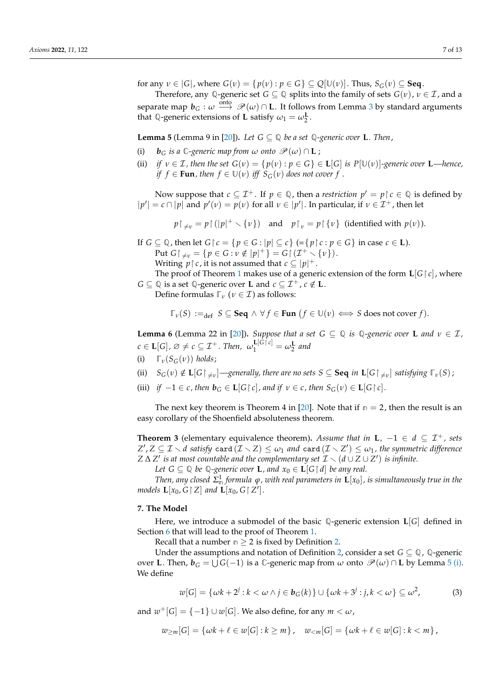for any  $v \in |G|$ , where  $G(v) = \{p(v) : p \in G\} \subseteq Q[\mathbb{U}(v)]$ . Thus,  $S_G(v) \subseteq \textbf{Seq}$ .

Therefore, any Q-generic set *G*  $\subseteq$  Q splits into the family of sets *G*(*v*), *v*  $\in$  *T*, and a separate map  $b_G:\omega\stackrel{\text{onto}}{\longrightarrow}\mathscr{P}(\omega)\cap \textbf{L}.$  It follows from Lemma [3](#page-4-2) by standard arguments that Q-generic extensions of **L** satisfy  $\omega_1 = \omega_2^{\mathbf{L}}$ .

<span id="page-6-1"></span>**Lemma 5** (Lemma 9 in [\[20\]](#page-11-18)). Let  $G \subseteq \mathbb{Q}$  be a set  $\mathbb{Q}$ -generic over **L**. Then,

- <span id="page-6-2"></span>(i)  $\mathbf{b}_G$  *is a*  $\mathbb{C}$ *-generic map from*  $\omega$  *onto*  $\mathscr{P}(\omega) \cap \mathbf{L}$ ;
- (ii) *if*  $v \in \mathcal{I}$ , then the set  $G(v) = \{p(v) : p \in G\} \in L[G]$  is  $P[\mathbb{U}(v)]$ -generic over **L**—hence, *if*  $f \in \text{Fun}$ *, then*  $f \in \mathbb{U}(v)$  *iff*  $S_G(v)$  *does not cover*  $f$ .

Now suppose that  $c \subseteq \mathcal{I}^+$ . If  $p \in \mathbb{Q}$ , then a *restriction*  $p' = p \upharpoonright c \in \mathbb{Q}$  is defined by  $|p'| = c \cap |p|$  and  $p'(v) = p(v)$  for all  $v \in |p'|$ . In particular, if  $v \in \mathcal{I}^+$ , then let

 $p \upharpoonright_{\neq v} = p \upharpoonright (|p|^+ \setminus \{v\})$  and  $p \upharpoonright_v = p \upharpoonright \{v\}$  (identified with  $p(v)$ ).

If  $G \subseteq \mathbb{Q}$ , then let  $G \upharpoonright c = \{p \in G : |p| \subseteq c\}$  (= $\{p \upharpoonright c : p \in G\}$  in case  $c \in L$ ).  $Put G {\restriction}_{\neq v} = {p \in G : v \notin |p|^+ } = G {\restriction} {(\mathcal{I}^+ \setminus \{v\})}.$ Writing  $p \nvert c$ , it is not assumed that  $c \nvert p \mid^+$ .

The proof of Theorem [1](#page-1-0) makes use of a generic extension of the form  $\mathbf{L}[G \restriction c]$ , where *G* ⊆ ℚ is a set ℚ-generic over **L** and  $c$  ⊆  $\mathcal{I}^+$ ,  $c \notin L$ .

Define formulas  $\mathbb{F}_{\nu}$  ( $\nu \in \mathcal{I}$ ) as follows:

$$
\mathbb{T}_{\nu}(S) :=_{\text{def}} S \subseteq \text{Seq} \land \forall f \in \text{Fun} \ (f \in \mathbb{U}(\nu) \iff S \text{ does not cover } f).
$$

<span id="page-6-4"></span>**Lemma 6** (Lemma 22 in [\[20\]](#page-11-18)). *Suppose that a set*  $G \subseteq \mathbb{Q}$  *is*  $\mathbb{Q}$ *-generic over* **L** *and*  $v \in \mathcal{I}$ *,*  $c \in L[G], \varnothing \neq c \subseteq \mathcal{I}^+$ *. Then,*  $\omega_1^{\mathbf{L}[G \restriction c]} = \omega_2^{\mathbf{L}}$  and

- <span id="page-6-6"></span>(i)  $\mathbb{F}_{\nu}(S_G(\nu))$  *holds*;
- <span id="page-6-7"></span> $\mathcal{S}_G(v) \notin \mathbf{L}[G \rvert_{\neq v}]$  —generally, there are no sets  $S \subseteq \mathbf{Seq}$  in  $\mathbf{L}[G \rvert_{\neq v}]$  satisfying  $\mathbb{F}_v(S)$ ;
- <span id="page-6-5"></span>(iii) *if*  $-1 \in c$ , then  $\mathbf{b}_G \in \mathbf{L}[G \mid c]$ , and if  $v \in c$ , then  $S_G(v) \in \mathbf{L}[G \mid c]$ .

The next key theorem is Theorem 4 in [\[20\]](#page-11-18). Note that if  $n = 2$ , then the result is an easy corollary of the Shoenfield absoluteness theorem.

<span id="page-6-8"></span>**Theorem 3** (elementary equivalence theorem). Assume that in  $\mathbf{L}$ ,  $-1 \in d \subseteq \mathcal{I}^+$ , sets  $Z', Z \subseteq \mathcal{I} \smallsetminus d$  satisfy  $\textsf{card}\,(\mathcal{I} \smallsetminus Z) \leq \omega_1$  and  $\textsf{card}\,(\mathcal{I} \smallsetminus Z') \leq \omega_1$  , the symmetric difference  $Z \Delta Z'$  *is at most countable and the complementary set*  $\mathcal{I} \setminus (d \cup Z \cup Z')$  *is infinite.* 

*Let*  $G \subseteq \mathbb{Q}$  *be*  $\mathbb{Q}$ *-generic over* **L**, and  $x_0 \in L[G \restriction d]$  *be any real.* 

*Then, any closed*  $\Sigma^1_{\mathfrak{m}}$  *formula*  $\varphi$ *, with real parameters in*  $\mathbf{L}[x_0]$ *, is simultaneously true in the models*  $\mathbf{L}[x_0, G \restriction Z]$  and  $\mathbf{L}[x_0, G \restriction Z']$ .

#### <span id="page-6-0"></span>**7. The Model**

Here, we introduce a submodel of the basic **Q**-generic extension **L**[*G*] defined in Section [6](#page-5-2) that will lead to the proof of Theorem [1.](#page-1-0)

Recall that a number  $n \geq 2$  is fixed by Definition [2.](#page-5-1)

Under the assumptions and notation of Definition [2,](#page-5-1) consider a set  $G \subseteq \mathbb{Q}$ ,  $\mathbb{Q}$ -generic over **L**. Then,  $b_G = \bigcup G(-1)$  is a  $\mathbb{C}$ -generic map from  $\omega$  onto  $\mathscr{P}(\omega) \cap L$  by Lemma [5](#page-6-1) [\(i\).](#page-6-2) We define

<span id="page-6-3"></span>
$$
w[G] = \{ \omega k + 2^j : k < \omega \land j \in \mathbf{b}_G(k) \} \cup \{ \omega k + 3^j : j, k < \omega \} \subseteq \omega^2,\tag{3}
$$

and  $w^+[G] = \{-1\} \cup w[G]$ . We also define, for any  $m < \omega$ ,

$$
w_{\geq m}[G] = \{ \omega k + \ell \in w[G] : k \geq m \}, \quad w_{\leq m}[G] = \{ \omega k + \ell \in w[G] : k < m \},
$$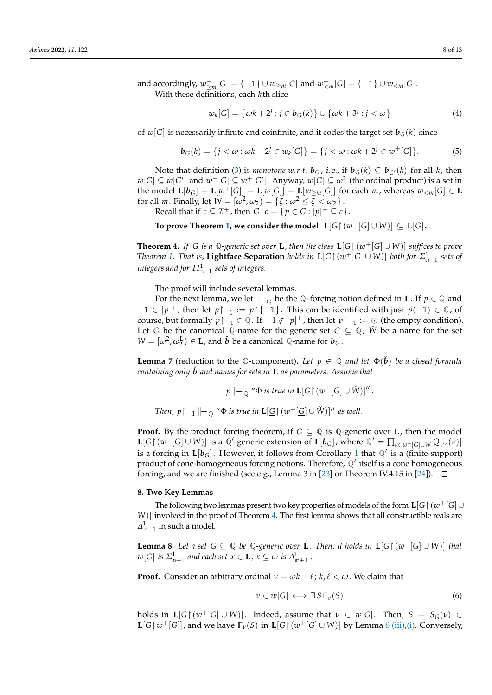and accordingly,  $w_{\geq m}^+[G] = \{-1\} \cup w_{\geq m}[G]$  and  $w_{\leq m}^+[G] = \{-1\} \cup w_{\leq m}[G]$ . With these definitions, each *k*th slice

$$
w_k[G] = \{ \omega k + 2^j : j \in \mathbf{b}_G(k) \} \cup \{ \omega k + 3^j : j < \omega \}
$$
 (4)

of  $w[G]$  is necessarily infinite and coinfinite, and it codes the target set  $b_G(k)$  since

$$
\mathbf{b}_{G}(k) = \{j < \omega : \omega k + 2^{j} \in w_{k}[G]\} = \{j < \omega : \omega k + 2^{j} \in w^{+}[G]\}.
$$
\n(5)

Note that definition [\(3\)](#page-6-3) is *monotone w.r.t.*  $\mathbf{b}_G$ , *i.e.*, if  $\mathbf{b}_G(k) \subseteq \mathbf{b}_{G}(k)$  for all *k*, then  $w[G]\subseteq w[G']$  and  $w^+[G]\subseteq w^+[G']$ . Anyway,  $w[G]\subseteq \omega^2$  (the ordinal product) is a set in **the model L**[ $b_G$ ] = **L**[ $w^+[G]$ ] = **L**[ $w$ [*G*]] = **L**[ $w_{\geq m}$ [*G*]] for each *m*, whereas  $w_{\leq m}$ [*G*] ∈ **L** for all *m*. Finally, let  $W = [\omega^2, \omega_2) = \{\zeta : \omega^2 \leq \zeta < \omega_2\}$ . Recall that if  $c \subseteq \mathcal{I}^+$ , then  $G \upharpoonright c = \{ p \in G : |p|^+ \subseteq c \}.$ 

**To prove Theorem [1,](#page-1-0) we consider the model**  $\ L[G \restriction (w^+[G] \cup W)] \subseteq L[G]$ **.** 

<span id="page-7-0"></span>**Theorem 4.** If *G* is a Q-generic set over **L**, then the class  $\mathbf{L}[G \mid (w^+[G] \cup W)]$  suffices to prove *Theorem* [1.](#page-1-0) *That is,* **Lightface Separation** *holds in*  $\mathbf{L}[G \mid (w^+[G] \cup W)]$  *both for*  $\Sigma^1_{n+1}$  *sets of*  $\dot{m}$  integers and for  $\Pi^1_{\mathfrak{m}+1}$  sets of integers.

The proof will include several lemmas.

For the next lemma, we let  $\|\text{--}_\mathbb{Q}$  be the  $\mathbb{Q}$ -forcing notion defined in **L**. If  $p \in \mathbb{Q}$  and  $-1 \in |p|$ <sup>+</sup>, then let  $p \upharpoonright_{-1} := p \upharpoonright \{-1\}$ . This can be identified with just  $p(-1) \in \mathbb{C}$ , of course, but formally  $p \upharpoonright_{-1} \in \mathbb{Q}$ . If  $-1 \notin |p|^+$ , then let  $p \upharpoonright_{-1} := \bigcirc$  (the empty condition). Let  $G$  be the canonical  $Q$ -name for the generic set  $G \subseteq Q$ ,  $W$  be a name for the set  $W = [\omega^2, \omega_2^{\mathbf{L}}) \in \mathbf{L}$ , and  $\check{\mathbf{b}}$  be a canonical  $\mathbb{Q}$ -name for  $\mathbf{b}_G$ .

<span id="page-7-4"></span>**Lemma** 7 (reduction to the  $\mathbb{C}$ -component). Let  $p \in \mathbb{Q}$  and let  $\Phi(\vec{b})$  be a closed formula *containing only b and names for sets in L as parameters. Assume that* 

$$
p \Vdash_{\mathbb{Q}} \text{``}\Phi \text{ is true in } \mathbf{L}[\underline{G} \restriction (w^+[\underline{G}] \cup \check{W})]''.
$$

*Then, p*  $\restriction$   $_{-1}$   $\parallel$   $_{-\mathbb{Q}}$  " $\Phi$  *is true in*  $\mathbf{L}[\underline{G} \restriction (w^+[\underline{G}] \cup \check{W})]$ " *as well.* 

**Proof.** By the product forcing theorem, if  $G \subseteq \mathbb{Q}$  is  $\mathbb{Q}$ -generic over **L**, then the model  $\mathbf{L}[G \mid (w^+[G] \cup W)]$  is a  $\mathbb{Q}'$ -generic extension of  $\mathbf{L}[b_G]$ , where  $\mathbb{Q}' = \prod_{\nu \in w^+[G] \cup W} Q[\mathbb{U}(\nu)]$ is a forcing in  $\mathbf{L}[b_G]$ . However, it follows from Corollary [1](#page-3-7) that  $\mathbb{Q}'$  is a (finite-support) product of cone-homogeneous forcing notions. Therefore,  $\mathbb{Q}'$  itself is a cone homogeneous forcing, and we are finished (see e.g., Lemma 3 in [\[23\]](#page-11-21) or Theorem IV.4.15 in [\[24\]](#page-11-22)).  $\Box$ 

#### <span id="page-7-1"></span>**8. Two Key Lemmas**

The following two lemmas present two key properties of models of the form  $\mathbf{L}[G \restriction (w^+[G] \cup$ *W*)] involved in the proof of Theorem [4.](#page-7-0) The first lemma shows that all constructible reals are  $\Delta_{n+1}^1$  in such a model.

<span id="page-7-3"></span>**Lemma 8.** Let a set  $G ⊆ ⊙$  be ℚ-generic over **L**. Then, it holds in **L**[ $G \upharpoonright (w^+ [G] \cup W)$ ] that  $w[G]$  *is*  $\Sigma^1_{n+1}$  *and each set*  $x \in L$ *,*  $x \subseteq \omega$  *is*  $\Delta^1_{n+1}$ .

**Proof.** Consider an arbitrary ordinal  $v = \omega k + \ell$ ;  $k, \ell < \omega$ . We claim that

<span id="page-7-2"></span>
$$
\nu \in w[G] \iff \exists S \, \mathbb{F}_{\nu}(S) \tag{6}
$$

holds in  $\mathbf{L}[G \mid (w^+[G] \cup W)]$ . Indeed, assume that  $v \in w[G]$ . Then,  $S = S_G(v) \in$  $\mathbf{L}[G \mid w^+[G]]$ , and we have  $\overline{\mathbb{F}}_v(S)$  in  $\mathbf{L}[G \mid (w^+[G] \cup W)]$  by Lemma [6](#page-6-4) [\(iii\)](#page-6-5)[,\(i\).](#page-6-6) Conversely,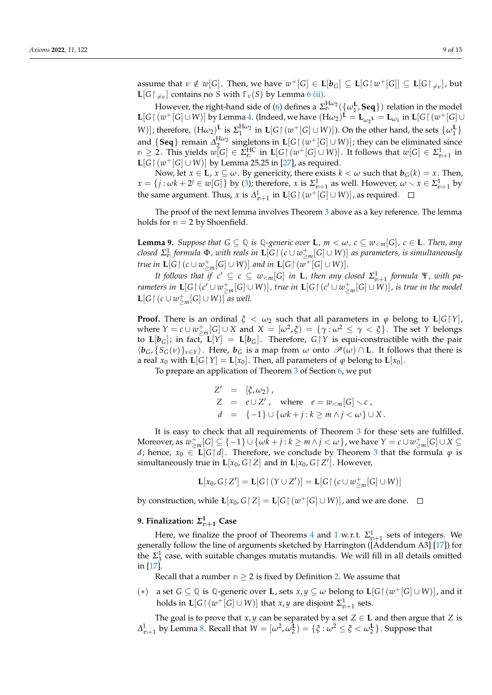assume that  $\nu \notin w[G]$ . Then, we have  $w^+[G] \in \mathbf{L}[b_G] \subseteq \mathbf{L}[G \upharpoonright w^+[G]] \subseteq \mathbf{L}[G \upharpoonright_{\neq v}]$ , but  $\mathbf{L}[G \upharpoonright_{\neq v}]$  contains no *S* with  $\mathbb{F}_v(S)$  by Lemma [6](#page-6-4) [\(ii\).](#page-6-7)

However, the right-hand side of [\(6\)](#page-7-2) defines a  $\Sigma_{\mathbb{n}}^{\text{H}\omega_2}(\{\omega_1^{\text{L}}, \text{Seq}\})$  relation in the model  $\mathbf{L}[G \mid (w^+[G] \cup W)]$  by Lemma [4.](#page-5-4) (Indeed, we have  $(\mathbf{H}\omega_2)^{\mathbf{L}} = \mathbf{L}_{\omega_2\mathbf{L}} = \mathbf{L}_{\omega_1}$  in  $\mathbf{L}[G \mid (w^+[G] \cup W)]$ *W*)]; therefore,  $(H\omega_2)$ <sup>L</sup> is  $\Sigma_1^{H\omega_2}$  in  $\mathbf{L}[G \mid (w^+[G] \cup W)]$ . On the other hand, the sets  $\{ \omega_1^{\mathbf{L}} \}$ and  $\{Seq\}$  remain  $\Delta_2^{H\omega_2}$  singletons in  $\mathbf{L}[G \mid (w^+[G] \cup W)]$ ; they can be eliminated since  $m \geq 2$ . This yields  $w[G] \in \Sigma_m^{\text{HC}}$  in  $\mathbf{L}[G \restriction (w^+[G] \cup W)]$ . It follows that  $w[G] \in \Sigma_{m+1}^1$  in **L**[*G* |  $(w^+$ [*G*] ∪ *W*)] by Lemma 25.25 in [\[27\]](#page-11-25), as required.

Now, let  $x \in L$ ,  $x \subseteq \omega$ . By genericity, there exists  $k < \omega$  such that  $b_G(k) = x$ . Then,  $x = \{j : \omega k + 2^j \in w[G]\}$  by [\(3\)](#page-6-3); therefore, *x* is  $\Sigma_{n+1}^1$  as well. However,  $\omega \setminus x \in \Sigma_{n+1}^1$  by the same argument. Thus, *x* is  $\Delta_{\mathsf{n}+1}^1$  in  $\mathbf{L}[G \restriction (w^+[G] \cup W)]$ , as required.

The proof of the next lemma involves Theorem [3](#page-6-8) above as a key reference. The lemma holds for  $n = 2$  by Shoenfield.

<span id="page-8-2"></span>**Lemma 9.** Suppose that  $G \subseteq \mathbb{Q}$  is  $\mathbb{Q}$ -generic over **L**,  $m < \omega$ ,  $c \subseteq w_{\le m}[G]$ ,  $c \in \mathbb{L}$ *. Then, any*  $\mathcal{L}$  *closed*  $\Sigma^1_{\mathfrak{m}}$  *formula*  $\Phi$ *, with reals in*  $\mathbf{L}[G$   $\restriction$   $(c\cup w^+_{\geq m}[G]\cup W)]$  *as parameters, is simultaneously true in*  $\mathbf{L}[G \restriction (c \cup w_{\geq m}^+[G] \cup W)]$  and in  $\mathbf{L}[G \restriction (w^+[G] \cup W)]$ .

*It follows that if*  $c' \subseteq c \subseteq w_{\leq m}[G]$  *in* **L**, then any closed  $\Sigma^1_{n+1}$  formula  $\Psi$ , with pa*rameters in*  $\mathbf{L}[G \restriction (c' \cup w_{\geq m}^+[G] \cup W)]$ , true in  $\mathbf{L}[G \restriction (c' \cup w_{\geq m}^+[G] \cup W)]$ , is true in the model **L**[*G*  $\restriction$  (*c* ∪  $w_{\geq m}^+[G]$  ∪ *W*)] *as well.* 

**Proof.** There is an ordinal  $\xi < \omega_2$  such that all parameters in  $\varphi$  belong to  $\mathbf{L}[G|Y]$ , where  $Y = c \cup w_{\geq m}^+[G] \cup X$  and  $X = [\omega^2, \xi) = {\gamma : \omega^2 \leq \gamma < \xi}.$  The set *Y* belongs to  $\mathbf{L}[\mathbf{b}_G]$ ; in fact,  $\mathbf{L}[Y] = \mathbf{L}[\mathbf{b}_G]$ . Therefore,  $G \upharpoonright Y$  is equi-constructible with the pair  $\langle b_G, \{S_G(v)\}\rangle_{v \in Y}$ . Here,  $b_G$  is a map from  $\omega$  onto  $\mathcal{P}(\omega) \cap L$ . It follows that there is a real  $x_0$  with  $\mathbf{L}[G|Y] = \mathbf{L}[x_0]$ . Then, all parameters of  $\varphi$  belong to  $\mathbf{L}[x_0]$ .

To prepare an application of Theorem [3](#page-6-8) of Section [6,](#page-5-2) we put

 $Z' = [\xi, \omega_2],$  $Z = e \cup Z'$ , where  $e = w_{\lt m}[G] \lt c$ , *d* = {−1} ∪ {*ωk* + *j* : *k* ≥ *m* ∧ *j* < *ω*} ∪ *X* .

It is easy to check that all requirements of Theorem [3](#page-6-8) for these sets are fulfilled.  $\Delta M$ oreover, as  $w_{\geq m}^+[G]\subseteq \{-1\}\cup \{\omega\tilde{k}+j:k\geq m\,\wedge\, j<\omega\}$  , we have  $Y=c\cup w_{\geq m}^+[G]\cup X\subseteq \mathcal{C}$ *d*; hence,  $x_0 \in \mathbf{L}[G | d]$ . Therefore, we conclude by Theorem [3](#page-6-8) that the formula  $\varphi$  is simultaneously true in  $\mathbf{L}[x_0,G\mathord{\restriction} Z]$  and in  $\mathbf{L}[x_0,G\mathord{\restriction} Z']$ . However,

$$
\mathbf{L}[x_0,G\mathord{\upharpoonright} Z'] = \mathbf{L}[G\mathord{\upharpoonright} (Y\cup Z')]=\mathbf{L}[G\mathord{\upharpoonright} (c\cup w^+_{\geq m}[G]\cup W)]
$$

by construction, while  $\mathbf{L}[x_0, G \restriction Z] = \mathbf{L}[G \restriction (w^+[G] \cup W)]$ , and we are done.

# <span id="page-8-0"></span>**9. Finalization:** *Σ* **1 <sup>n</sup>**+**<sup>1</sup> Case**

Here, we finalize the proof of Theorems [4](#page-7-0) and [1](#page-1-0) w.r.t.  $\Sigma_{n+1}^1$  sets of integers. We generally follow the line of arguments sketched by Harrington ([Addendum A3] [\[17\]](#page-11-15)) for the  $\Sigma_3^1$  case, with suitable changes mutatis mutandis. We will fill in all details omitted in [\[17\]](#page-11-15).

Recall that a number  $n \geq 2$  is fixed by Definition [2.](#page-5-1) We assume that

<span id="page-8-1"></span>(\*) a set *G* ⊆ ℚ is ℚ-generic over **L**, sets  $x, y$  ⊆ *ω* belong to **L**[*G* | ( $w$ <sup>+</sup>[*G*] ∪ *W*)], and it holds in  $\mathbf{L}[G \upharpoonright (w^+[G] \cup W)]$  that *x*, *y* are disjoint  $\Sigma^1_{n+1}$  sets.

The goal is to prove that *x*, *y* can be separated by a set  $Z \in L$  and then argue that *Z* is  $\Delta^1_{n+1}$  by Lemma [8.](#page-7-3) Recall that  $W = [\omega^2, \omega_2^L) = {\{\xi : \omega^2 \leq \xi < \omega_2^L\}}$ . Suppose that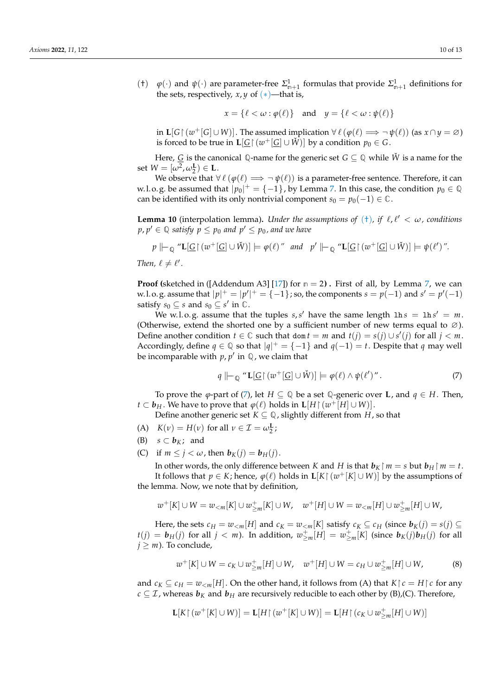<span id="page-9-0"></span>(†)  $\varphi(\cdot)$  and  $\psi(\cdot)$  are parameter-free  $\Sigma_{n+1}^1$  formulas that provide  $\Sigma_{n+1}^1$  definitions for the sets, respectively,  $x, y$  of  $(*)$ —that is,

$$
x = \{ \ell < \omega : \varphi(\ell) \} \quad \text{and} \quad y = \{ \ell < \omega : \psi(\ell) \}
$$

in  $\mathbf{L}[G \upharpoonright (w^+[G] \cup W)]$ . The assumed implication  $\forall \ell (\varphi(\ell) \Longrightarrow \neg \psi(\ell))$  (as  $x \cap y = \varnothing$ ) is forced to be true in  $\mathbf{L}[\underline{G} | (w^+[\underline{G}] \cup W)]$  by a condition  $p_0 \in G$ .

Here, <u>G</u> is the canonical Q-name for the generic set  $G \subseteq \mathbb{Q}$  while  $\check{W}$  is a name for the set  $W = [\omega^2, \omega_2^{\mathbf{L}}) \in \mathbf{L}$ .

We observe that  $\forall \ell (\varphi(\ell) \Longrightarrow \neg \psi(\ell))$  is a parameter-free sentence. Therefore, it can w.l.o.g. be assumed that  $|p_0|^+ = \{-1\}$ , by Lemma [7.](#page-7-4) In this case, the condition  $p_0 \in \mathbb{Q}$ can be identified with its only nontrivial component  $s_0 = p_0(-1) \in \mathbb{C}$ .

<span id="page-9-3"></span>**Lemma 10** (interpolation lemma). *Under the assumptions of*  $(+)$ *, if*  $\ell$ *,*  $\ell' < \omega$ *, conditions*  $p, p' \in \mathbb{Q}$  *satisfy*  $p \leq p_0$  *and*  $p' \leq p_0$  *, and we have* 

$$
p \Vdash_{\mathbb{Q}} \text{``L}[G \restriction (w^+ [G] \cup W)] \models \varphi(\ell) \text{''} \text{ and } p' \Vdash_{\mathbb{Q}} \text{``L}[G \restriction (w^+ [G] \cup W)] \models \psi(\ell') \text{''}.
$$

*Then,*  $\ell \neq \ell'$ .

**Proof** (sketched in ([Addendum A3] [\[17\]](#page-11-15)) for  $n = 2$ ). First of all, by Lemma [7,](#page-7-4) we can w.l.o.g. assume that  $|p|^+ = |p'|^+ = \{-1\}$ ; so, the components  $s = p(-1)$  and  $s' = p'(-1)$ satisfy  $s_0 \subseteq s$  and  $s_0 \subseteq s'$  in  $\mathbb{C}$ .

We w.l. o. g. assume that the tuples  $s, s'$  have the same length  $\ln s = \ln s' = m$ . (Otherwise, extend the shorted one by a sufficient number of new terms equal to  $\varnothing$ ). Define another condition  $t \in \mathbb{C}$  such that dom  $t = m$  and  $t(j) = s(j) \cup s'(j)$  for all  $j < m$ . Accordingly, define  $q \in \mathbb{Q}$  so that  $|q|^+ = \{-1\}$  and  $q(-1) = t$ . Despite that  $q$  may well be incomparable with  $p$ ,  $p'$  in  $\mathbb{Q}$ , we claim that

<span id="page-9-1"></span>
$$
q \Vdash_{\mathbb{Q}} \text{``L}[G \restriction (w^+[\underline{G}] \cup \check{W})] \models \varphi(\ell) \land \psi(\ell')''.
$$
\n<sup>(7)</sup>

To prove the  $\varphi$ -part of [\(7\)](#page-9-1), let  $H \subseteq \mathbb{Q}$  be a set  $\mathbb{Q}$ -generic over **L**, and  $q \in H$ . Then, *t* ⊂ *<i>b***<sub>H</sub>**. We have to prove that  $\varphi(\ell)$  holds in  $\mathbf{L}[H \restriction (w^+[H] \cup W)]$ .

Define another generic set  $K \subseteq \mathbb{Q}$ , slightly different from *H*, so that

- (A)  $K(v) = H(v)$  for all  $v \in \mathcal{I} = \omega_2^{\mathbf{L}}$ ;
- (B) *s* ⊂ **; and**
- (C) if  $m \leq j < \omega$ , then  $b_K(j) = b_H(j)$ .

In other words, the only difference between *K* and *H* is that  $b_K \upharpoonright m = s$  but  $b_H \upharpoonright m = t$ . It follows that  $p \in K$ ; hence,  $\varphi(\ell)$  holds in  $\mathbf{L}[K \restriction (w^+[K] \cup W)]$  by the assumptions of the lemma. Now, we note that by definition,

$$
w^+[K] \cup W = w_{< m}[K] \cup w^+_{\geq m}[K] \cup W, \quad w^+[H] \cup W = w_{< m}[H] \cup w^+_{\geq m}[H] \cup W,
$$

Here, the sets  $c_H = w_{\le m}[H]$  and  $c_K = w_{\le m}[K]$  satisfy  $c_K \subseteq c_H$  (since  $b_K(j) = s(j) \subseteq$  $t(j) = b_H(j)$  for all  $j < m$ ). In addition,  $w_{\geq m}^+[H] = w_{\geq m}^+[K]$  (since  $b_K(j)b_H(j)$  for all  $j \geq m$ ). To conclude,

<span id="page-9-2"></span>
$$
w^+[K] \cup W = c_K \cup w^+_{\geq m}[H] \cup W, \quad w^+[H] \cup W = c_H \cup w^+_{\geq m}[H] \cup W,
$$
 (8)

and  $c_K \subseteq c_H = w_{\leq m}[H]$ . On the other hand, it follows from (A) that  $K \upharpoonright c = H \upharpoonright c$  for any  $c \subseteq \mathcal{I}$ , whereas  $b_K$  and  $b_H$  are recursively reducible to each other by (B),(C). Therefore,

$$
\mathbf{L}[K \mathop{\upharpoonright} (w^+[K] \cup W)] = \mathbf{L}[H \mathop{\upharpoonright} (w^+[K] \cup W)] = \mathbf{L}[H \mathop{\upharpoonright} (c_K \cup w^+_{\geq m}[H] \cup W)]
$$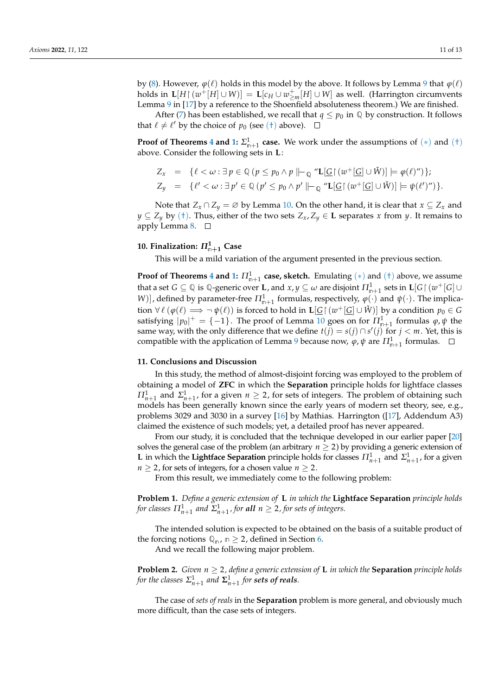by [\(8\)](#page-9-2). However,  $\varphi(\ell)$  holds in this model by the above. It follows by Lemma [9](#page-8-2) that  $\varphi(\ell)$  ${\rm holds\; in}\;$  **L** $[H\upharpoonright (w^+[H]\cup W)] = {\rm L}[c_H\cup w^+_{\ge m}[H]\cup W]$  as well. (Harrington circumvents Lemma [9](#page-8-2) in [\[17\]](#page-11-15) by a reference to the Shoenfield absoluteness theorem.) We are finished.

After [\(7\)](#page-9-1) has been established, we recall that  $q \leq p_0$  in  $\mathbb{Q}$  by construction. It follows that  $\ell \neq \ell'$  by the choice of  $p_0$  (see ([†](#page-9-0)) above).

**Proof of Theorems [4](#page-7-0) and [1:](#page-1-0)**  $\Sigma_{n+1}^1$  case. We work under the assumptions of  $(*)$  and  $(+)$ above. Consider the following sets in **L**:

$$
Z_x = \{ \ell < \omega : \exists \, p \in \mathbb{Q} \, (p \leq p_0 \land p \, \|\text{--} \mathbb{Q} \, \text{``} \mathbf{L}[\underline{G} \, \text{``} \, (\overline{w}^+[\underline{G}] \cup \check{W})] \models \varphi(\ell) \text{''}) \};
$$
\n
$$
Z_y = \{ \ell' < \omega : \exists \, p' \in \mathbb{Q} \, (p' \leq p_0 \land p' \, \|\text{--} \mathbb{Q} \, \text{``} \mathbf{L}[\underline{G} \, \text{``} \, (\overline{w}^+[\underline{G}] \cup \check{W})] \models \psi(\ell') \text{''}) \}.
$$

Note that  $Z_x \cap Z_y = \emptyset$  by Lemma [10.](#page-9-3) On the other hand, it is clear that  $x \subseteq Z_x$  and *y* ⊆ *Z*<sup>*y*</sup> by ([†](#page-9-0)). Thus, either of the two sets *Z*<sub>*x*</sub>, *Z*<sup>*y*</sup> ∈ **L** separates *x* from *y*. It remains to apply Lemma [8.](#page-7-3)  $\Box$ 

# <span id="page-10-0"></span>**10. Finalization:** *Π***<sup>1</sup> <sup>n</sup>**+**<sup>1</sup> Case**

This will be a mild variation of the argument presented in the previous section.

**Proof of Theorems [4](#page-7-0) and [1:](#page-1-0)**  $\Pi_{\mathfrak{m}+1}^1$  **case, sketch.** Emulating  $(*)$  and  $(+)$  above, we assume that a set  $G \subseteq \mathbb{Q}$  is  $\mathbb{Q}$ -generic over  $\mathbf{L}$ , and  $x,y \subseteq \omega$  are disjoint  $\Pi^1_{\mathfrak{m}+1}$  sets in  $\mathbf{L}[G \mathord{\restriction} (w^+[G] \cup$ *W*)], defined by parameter-free  $\Pi_{m+1}^1$  formulas, respectively,  $\varphi(\cdot)$  and  $\psi(\cdot)$ . The implication  $\forall \ell (\varphi(\ell) \Longrightarrow \neg \psi(\ell))$  is forced to hold in  $\mathbf{L}[\underline{G} \restriction (w^+[\underline{G}] \cup \check{W})]$  by a condition  $p_0 \in G$ satisfying  $|p_0|^+ = \{-1\}$ . The proof of Lemma [10](#page-9-3) goes on for  $\Pi_{n+1}^1$  formulas  $\varphi, \psi$  the same way, with the only difference that we define  $t(j) = s(j) \cap s'(j)$  for  $j < m$ . Yet, this is compatible with the application of Lemma [9](#page-8-2) because now,  $\varphi$ ,  $\psi$  are  $\Pi^1_{\mathsf{n}+1}$  formulas.

### **11. Conclusions and Discussion**

In this study, the method of almost-disjoint forcing was employed to the problem of obtaining a model of **ZFC** in which the **Separation** principle holds for lightface classes *Π*<sub>*n*+1</sub> and *Σ*<sub>*n*+1</sub>, for a given *n*  $\geq$  2, for sets of integers. The problem of obtaining such models has been generally known since the early years of modern set theory, see, e.g., problems 3029 and 3030 in a survey [\[16\]](#page-11-14) by Mathias. Harrington ([\[17\]](#page-11-15), Addendum A3) claimed the existence of such models; yet, a detailed proof has never appeared.

From our study, it is concluded that the technique developed in our earlier paper [\[20\]](#page-11-18) solves the general case of the problem (an arbitrary  $n \geq 2$ ) by providing a generic extension of **L** in which the **Lightface Separation** principle holds for classes  $\Pi_{n+1}^1$  and  $\Sigma_{n+1}^1$ , for a given *n*  $\geq$  2, for sets of integers, for a chosen value *n*  $\geq$  2.

From this result, we immediately come to the following problem:

**Problem 1.** *Define a generic extension of* **L** *in which the* **Lightface Separation** *principle holds* for classes  $\Pi^1_{n+1}$  and  $\Sigma^1_{n+1}$  , for **all**  $n\geq 2$  , for sets of integers.

The intended solution is expected to be obtained on the basis of a suitable product of the forcing notions  $\mathbb{Q}_n$ ,  $n \geq 2$ , defined in Section [6.](#page-5-2)

And we recall the following major problem.

**Problem 2.** *Given*  $n \geq 2$ *, define a generic extension of* **L** *in which the* **Separation** *principle holds for the classes*  $\Sigma_{n+1}^1$  *and*  $\Sigma_{n+1}^1$  *for sets of reals.* 

The case of *sets of reals* in the **Separation** problem is more general, and obviously much more difficult, than the case sets of integers.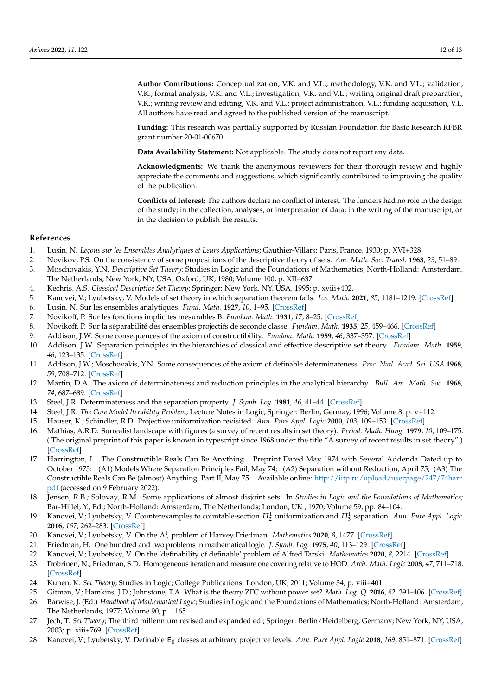**Author Contributions:** Conceptualization, V.K. and V.L.; methodology, V.K. and V.L.; validation, V.K.; formal analysis, V.K. and V.L.; investigation, V.K. and V.L.; writing original draft preparation, V.K.; writing review and editing, V.K. and V.L.; project administration, V.L.; funding acquisition, V.L. All authors have read and agreed to the published version of the manuscript.

**Funding:** This research was partially supported by Russian Foundation for Basic Research RFBR grant number 20-01-00670.

**Data Availability Statement:** Not applicable. The study does not report any data.

**Acknowledgments:** We thank the anonymous reviewers for their thorough review and highly appreciate the comments and suggestions, which significantly contributed to improving the quality of the publication.

**Conflicts of Interest:** The authors declare no conflict of interest. The funders had no role in the design of the study; in the collection, analyses, or interpretation of data; in the writing of the manuscript, or in the decision to publish the results.

#### **References**

- <span id="page-11-0"></span>1. Lusin, N. *Leçons sur les Ensembles Analytiques et Leurs Applications*; Gauthier-Villars: Paris, France, 1930; p. XVI+328.
- <span id="page-11-1"></span>2. Novikov, P.S. On the consistency of some propositions of the descriptive theory of sets. *Am. Math. Soc. Transl.* **1963**, *29*, 51–89.
- <span id="page-11-2"></span>3. Moschovakis, Y.N. *Descriptive Set Theory*; Studies in Logic and the Foundations of Mathematics; North-Holland: Amsterdam, The Netherlands; New York, NY, USA; Oxford, UK, 1980; Volume 100, p. XII+637
- 4. Kechris, A.S. *Classical Descriptive Set Theory*; Springer: New York, NY, USA, 1995; p. xviii+402.
- <span id="page-11-3"></span>5. Kanovei, V.; Lyubetsky, V. Models of set theory in which separation theorem fails. *Izv. Math.* **2021**, *85*, 1181–1219. [\[CrossRef\]](http://doi.org/10.1070/IM8937)
- <span id="page-11-4"></span>6. Lusin, N. Sur les ensembles analytiques. *Fund. Math.* **1927**, *10*, 1–95. [\[CrossRef\]](http://dx.doi.org/10.4064/fm-10-1-1-95)
- <span id="page-11-5"></span>7. Novikoff, P. Sur les fonctions implicites mesurables B. *Fundam. Math.* **1931**, *17*, 8–25. [\[CrossRef\]](http://dx.doi.org/10.4064/fm-17-1-8-25)
- <span id="page-11-6"></span>8. Novikoff, P. Sur la séparabilité des ensembles projectifs de seconde classe. *Fundam. Math.* **1935**, *25*, 459–466. [\[CrossRef\]](http://dx.doi.org/10.4064/fm-25-1-459-466)
- <span id="page-11-7"></span>9. Addison, J.W. Some consequences of the axiom of constructibility. *Fundam. Math.* **1959**, *46*, 337–357. [\[CrossRef\]](http://dx.doi.org/10.4064/fm-46-3-337-357)
- <span id="page-11-8"></span>10. Addison, J.W. Separation principles in the hierarchies of classical and effective descriptive set theory. *Fundam. Math.* **1959**, *46*, 123–135. [\[CrossRef\]](http://dx.doi.org/10.4064/fm-46-2-123-135)
- <span id="page-11-9"></span>11. Addison, J.W.; Moschovakis, Y.N. Some consequences of the axiom of definable determinateness. *Proc. Natl. Acad. Sci. USA* **1968**, *59*, 708–712. [\[CrossRef\]](http://dx.doi.org/10.1073/pnas.59.3.708)
- <span id="page-11-10"></span>12. Martin, D.A. The axiom of determinateness and reduction principles in the analytical hierarchy. *Bull. Am. Math. Soc.* **1968**, *74*, 687–689. [\[CrossRef\]](http://dx.doi.org/10.1090/S0002-9904-1968-11995-0)
- <span id="page-11-11"></span>13. Steel, J.R. Determinateness and the separation property. *J. Symb. Log.* **1981**, *46*, 41–44. [\[CrossRef\]](http://dx.doi.org/10.2307/2273254)
- <span id="page-11-12"></span>14. Steel, J.R. *The Core Model Iterability Problem*; Lecture Notes in Logic; Springer: Berlin, Germay, 1996; Volume 8, p. v+112.
- <span id="page-11-13"></span>15. Hauser, K.; Schindler, R.D. Projective uniformization revisited. *Ann. Pure Appl. Logic* **2000**, *103*, 109–153. [\[CrossRef\]](http://dx.doi.org/10.1016/S0168-0072(99)00038-X)
- <span id="page-11-14"></span>16. Mathias, A.R.D. Surrealist landscape with figures (a survey of recent results in set theory). *Period. Math. Hung.* **1979**, *10*, 109–175. ( The original preprint of this paper is known in typescript since 1968 under the title "A survey of recent results in set theory".) [\[CrossRef\]](http://dx.doi.org/10.1007/BF02025889)
- <span id="page-11-15"></span>17. Harrington, L. The Constructible Reals Can Be Anything. Preprint Dated May 1974 with Several Addenda Dated up to October 1975: (A1) Models Where Separation Principles Fail, May 74; (A2) Separation without Reduction, April 75; (A3) The Constructible Reals Can Be (almost) Anything, Part II, May 75. Available online: [http://iitp.ru/upload/userpage/247/74harr.](http://iitp.ru/upload/userpage/247/74harr.pdf) [pdf](http://iitp.ru/upload/userpage/247/74harr.pdf) (accessed on 9 February 2022).
- <span id="page-11-16"></span>18. Jensen, R.B.; Solovay, R.M. Some applications of almost disjoint sets. In *Studies in Logic and the Foundations of Mathematics*; Bar-Hillel, Y., Ed.; North-Holland: Amsterdam, The Netherlands; London, UK , 1970; Volume 59, pp. 84–104.
- <span id="page-11-17"></span>19. Kanovei, V.; Lyubetsky, V. Counterexamples to countable-section  $\Pi_2^1$  uniformization and  $\Pi_3^1$  separation. *Ann. Pure Appl. Logic* **2016**, *167*, 262–283. [\[CrossRef\]](http://dx.doi.org/10.1016/j.apal.2015.12.002)
- <span id="page-11-18"></span>20. Kanovei, V.; Lyubetsky, V. On the ∆ 1 *<sup>n</sup>* problem of Harvey Friedman. *Mathematics* **2020**, *8*, 1477. [\[CrossRef\]](http://dx.doi.org/10.3390/math8091477)
- <span id="page-11-19"></span>21. Friedman, H. One hundred and two problems in mathematical logic. *J. Symb. Log.* **1975**, *40*, 113–129. [\[CrossRef\]](http://dx.doi.org/10.2307/2271891)
- <span id="page-11-20"></span>22. Kanovei, V.; Lyubetsky, V. On the 'definability of definable' problem of Alfred Tarski. *Mathematics* **2020**, *8*, 2214. [\[CrossRef\]](http://dx.doi.org/10.3390/math8122214)
- <span id="page-11-21"></span>23. Dobrinen, N.; Friedman, S.D. Homogeneous iteration and measure one covering relative to HOD. *Arch. Math. Logic* **2008**, *47*, 711–718. [\[CrossRef\]](http://dx.doi.org/10.1007/s00153-008-0103-5)
- <span id="page-11-22"></span>24. Kunen, K. *Set Theory*; Studies in Logic; College Publications: London, UK, 2011; Volume 34, p. viii+401.
- <span id="page-11-23"></span>25. Gitman, V.; Hamkins, J.D.; Johnstone, T.A. What is the theory ZFC without power set? *Math. Log. Q.* **2016**, *62*, 391–406. [\[CrossRef\]](http://dx.doi.org/10.1002/malq.201500019)
- <span id="page-11-24"></span>26. Barwise, J. (Ed.) *Handbook of Mathematical Logic*; Studies in Logic and the Foundations of Mathematics; North-Holland: Amsterdam, The Netherlands, 1977; Volume 90, p. 1165.
- <span id="page-11-25"></span>27. Jech, T. *Set Theory*; The third millennium revised and expanded ed.; Springer: Berlin/Heidelberg, Germany; New York, NY, USA, 2003; p. xiii+769. [\[CrossRef\]](http://dx.doi.org/10.1007/3-540-44761-X)
- <span id="page-11-26"></span>28. Kanovei, V.; Lyubetsky, V. Definable E<sub>0</sub> classes at arbitrary projective levels. Ann. Pure Appl. Logic 2018, 169, 851-871. [\[CrossRef\]](http://dx.doi.org/10.1016/j.apal.2018.04.006)